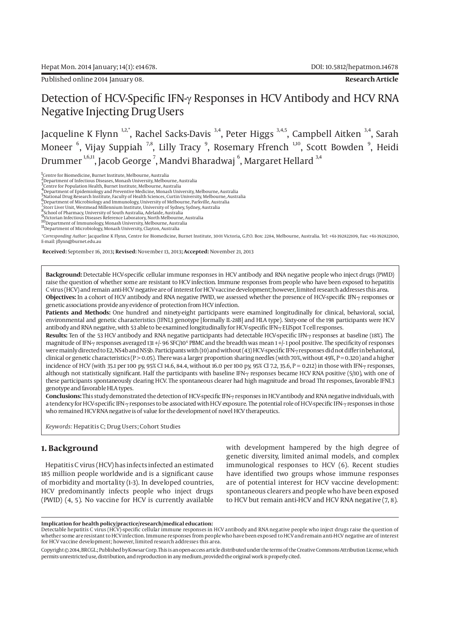Published online 2014 January 08. **Research Article**

# Detection of HCV-Specific IFN-γ Responses in HCV Antibody and HCV RNA Negative Injecting Drug Users

Jacqueline K Flynn<sup>1,2,\*</sup>, Rachel Sacks-Davis<sup>3,4</sup>, Peter Higgs<sup>3,4,5</sup>, Campbell Aitken<sup>3,4</sup>, Sarah Moneer  $^6$ , Vijay Suppiah  $^{7,8}$ , Lilly Tracy  $^9$ , Rosemary Ffrench  $^{1,10}$ , Scott Bowden  $^9$ , Heidi Drummer  $^{1,6,11}$ , Jacob George  $^7$ , Mandvi Bharadwaj  $^6$ , Margaret Hellard  $^{3,4}$ 

<sup>1</sup>Centre for Biomedicine, Burnet Institute, Melbourne, Australia<br><sup>2</sup>Department of Infectious Diseases, Monash University, Melbourne, Australia<br><sup>3</sup>Centre for Population Health, Burnet Institute, Melbourne, Australia<br><u>4</u> De

5<br>Axitional Drug Research Institute, Faculty of Health Sciences, Curtin University, Melbourne, Australia<br><sup>6</sup> Department of Microbiology and Immunology, University of Melbourne, Parkville, Australia<br><sup>7</sup> Storr Liver Unit, We

8School of Pharmacy, University of South Australia, Adelaide, Australia

9<br><sup>9</sup>Victorian Infectious Diseases Reference Laboratory, North Melbourne, Australia<br><sup>10</sup> Department of Immunology, Monash University, Melbourne, Australia<br><sup>11</sup>Department of Microbiology, Monash University, Clayton, Austral

*\*Corresponding Author*: Jacqueline K Flynn, Centre for Biomedicine, Burnet Institute, 3001 Victoria, G.P.O. Box: 2284, Melbourne, Australia. Tel: +61-392822109, Fax: +61-392822100, E-mail: jflynn@burnet.edu.au

 **Received:** September 16, 2013**; Revised:** November 13, 2013**; Accepted:** November 21, 2013

**Background:** Detectable HCV-specific cellular immune responses in HCV antibody and RNA negative people who inject drugs (PWID) raise the question of whether some are resistant to HCV infection. Immune responses from people who have been exposed to hepatitis C virus (HCV) and remain anti-HCV negative are of interest for HCV vaccine development; however, limited research addresses this area. **Objectives:** In a cohort of HCV antibody and RNA negative PWID, we assessed whether the presence of HCV-specific IFN-γ responses or genetic associations provide any evidence of protection from HCV infection.

**Patients and Methods:** One hundred and ninety-eight participants were examined longitudinally for clinical, behavioral, social, environmental and genetic characteristics (IFNL3 genotype [formally IL-28B] and HLA type). Sixty-one of the 198 participants were HCV antibody and RNA negative, with 53 able to be examined longitudinally for HCV-specific IFN-γ ELISpot T cell responses.

**Results:** Ten of the 53 HCV antibody and RNA negative participants had detectable HCV-specific IFN-γ responses at baseline (18%). The magnitude of IFN-γ responses averaged 131+/- 96 SFC/10<sup>6</sup> PBMC and the breadth was mean 1+/-1 pool positive. The specificity of responses were mainly directed to E2, NS4b and NS5b. Participants with (10) and without (43) HCV-specific IFN-γ responses did not differ in behavioral, clinical or genetic characteristics (P > 0.05). There was a larger proportion sharing needles (with 70%, without 49%, P = 0.320) and a higher incidence of HCV (with 35.1 per 100 py, 95% CI 14.6, 84.4, without 16.0 per 100 py, 95% CI 7.2, 35.6, P = 0.212) in those with IFN-γ responses, although not statistically significant. Half the participants with baseline IFN-γ responses became HCV RNA positive (5/10), with one of these participants spontaneously clearing HCV. The spontaneous clearer had high magnitude and broad Th1 responses, favorable IFNL3 genotype and favorable HLA types.

**Conclusions:** This study demonstrated the detection of HCV-specific IFN-γ responses in HCV antibody and RNA negative individuals, with a tendency for HCV-specific IFN-γ responses to be associated with HCV exposure. The potential role of HCV-specific IFN-γ responses in those who remained HCV RNA negative is of value for the development of novel HCV therapeutics.

*Keywords:* Hepatitis C; Drug Users; Cohort Studies

## **1. Background**

Hepatitis C virus (HCV) has infects infected an estimated 185 million people worldwide and is a significant cause of morbidity and mortality (1-3). In developed countries, HCV predominantly infects people who inject drugs (PWID) (4, 5). No vaccine for HCV is currently available

with development hampered by the high degree of genetic diversity, limited animal models, and complex immunological responses to HCV (6). Recent studies have identified two groups whose immune responses are of potential interest for HCV vaccine development: spontaneous clearers and people who have been exposed to HCV but remain anti-HCV and HCV RNA negative (7, 8).

#### **Implication for health policy/practice/research/medical education:**

Detectable hepatitis C virus (HCV)-specific cellular immune responses in HCV antibody and RNA negative people who inject drugs raise the question of whether some are resistant to HCV infection. Immune responses from people who have been exposed to HCV and remain anti-HCV negative are of interest for HCV vaccine development; however, limited research addresses this area.

Copyright © 2014, BRCGL.; Published by Kowsar Corp. This is an open-access article distributed under the terms of the Creative Commons Attribution License, which permits unrestricted use, distribution, and reproduction in any medium, provided the original work is properly cited.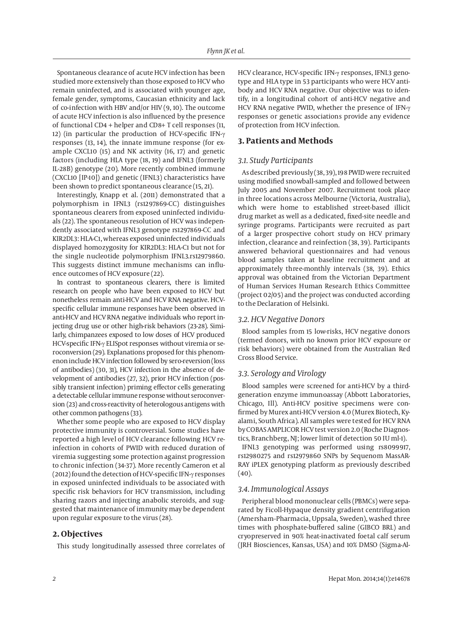Spontaneous clearance of acute HCV infection has been studied more extensively than those exposed to HCV who remain uninfected, and is associated with younger age, female gender, symptoms, Caucasian ethnicity and lack of co-infection with HBV and/or HIV (9, 10). The outcome of acute HCV infection is also influenced by the presence of functional CD4 + helper and CD8+ T cell responses (11, 12) (in particular the production of HCV-specific IFN-γ responses (13, 14), the innate immune response (for example CXCL10 (15) and NK activity (16, 17) and genetic factors (including HLA type (18, 19) and IFNL3 (formerly IL-28B) genotype (20). More recently combined immune (CXCL10 [IP-10]) and genetic (IFNL3) characteristics have been shown to predict spontaneous clearance (15, 21).

Interestingly, Knapp et al. (2011) demonstrated that a polymorphism in IFNL3 (rs1297869-CC) distinguishes spontaneous clearers from exposed uninfected individuals (22). The spontaneous resolution of HCV was independently associated with IFNL3 genotype rs1297869-CC and KIR2DL3: HLA-C1, whereas exposed uninfected individuals displayed homozygosity for KIR2DL3: HLA-C1 but not for the single nucleotide polymorphism IFNL3.rs12979860. This suggests distinct immune mechanisms can influence outcomes of HCV exposure (22).

In contrast to spontaneous clearers, there is limited research on people who have been exposed to HCV but nonetheless remain anti-HCV and HCV RNA negative. HCVspecific cellular immune responses have been observed in anti-HCV and HCV RNA negative individuals who report injecting drug use or other high-risk behaviors (23-28). Similarly, chimpanzees exposed to low doses of HCV produced HCV-specific IFN-γ ELISpot responses without viremia or seroconversion (29). Explanations proposed for this phenomenon include HCV infection followed by sero-reversion (loss of antibodies) (30, 31), HCV infection in the absence of development of antibodies (27, 32), prior HCV infection (possibly transient infection) priming effector cells generating a detectable cellular immune response without seroconversion (23) and cross-reactivity of heterologous antigens with other common pathogens (33).

Whether some people who are exposed to HCV display protective immunity is controversial. Some studies have reported a high level of HCV clearance following HCV reinfection in cohorts of PWID with reduced duration of viremia suggesting some protection against progression to chronic infection (34-37). More recently Cameron et al (2012) found the detection of HCV-specific IFN-γ responses in exposed uninfected individuals to be associated with specific risk behaviors for HCV transmission, including sharing razors and injecting anabolic steroids, and suggested that maintenance of immunity may be dependent upon regular exposure to the virus (28).

## **2. Objectives**

This study longitudinally assessed three correlates of

HCV clearance, HCV-specific IFN-γ responses, IFNL3 genotype and HLA type in 53 participants who were HCV antibody and HCV RNA negative. Our objective was to identify, in a longitudinal cohort of anti-HCV negative and HCV RNA negative PWID, whether the presence of IFN-γ responses or genetic associations provide any evidence of protection from HCV infection.

#### **3. Patients and Methods**

#### *3.1. Study Participants*

As described previously (38, 39), 198 PWID were recruited using modified snowball-sampled and followed between July 2005 and November 2007. Recruitment took place in three locations across Melbourne (Victoria, Australia), which were home to established street-based illicit drug market as well as a dedicated, fixed-site needle and syringe programs. Participants were recruited as part of a larger prospective cohort study on HCV primary infection, clearance and reinfection (38, 39). Participants answered behavioral questionnaires and had venous blood samples taken at baseline recruitment and at approximately three-monthly intervals (38, 39). Ethics approval was obtained from the Victorian Department of Human Services Human Research Ethics Committee (project 02/05) and the project was conducted according to the Declaration of Helsinki.

#### *3.2. HCV Negative Donors*

Blood samples from 15 low-risks, HCV negative donors (termed donors, with no known prior HCV exposure or risk behaviors) were obtained from the Australian Red Cross Blood Service.

#### *3.3. Serology and Virology*

Blood samples were screened for anti-HCV by a thirdgeneration enzyme immunoassay (Abbott Laboratories, Chicago, Ill). Anti-HCV positive specimens were confirmed by Murex anti-HCV version 4.0 (Murex Biotech, Kyalami, South Africa). All samples were tested for HCV RNA by COBAS AMPLICOR HCV test version 2.0 (Roche Diagnostics, Branchberg, NJ; lower limit of detection 50 IU ml-1).

IFNL3 genotyping was performed using rs8099917, rs12980275 and rs12979860 SNPs by Sequenom MassAR-RAY iPLEX genotyping platform as previously described (40).

#### *3.4. Immunological Assays*

Peripheral blood mononuclear cells (PBMCs) were separated by Ficoll-Hypaque density gradient centrifugation (Amersham–Pharmacia, Uppsala, Sweden), washed three times with phosphate-buffered saline (GIBCO BRL) and cryopreserved in 90% heat-inactivated foetal calf serum (JRH Biosciences, Kansas, USA) and 10% DMSO (Sigma-Al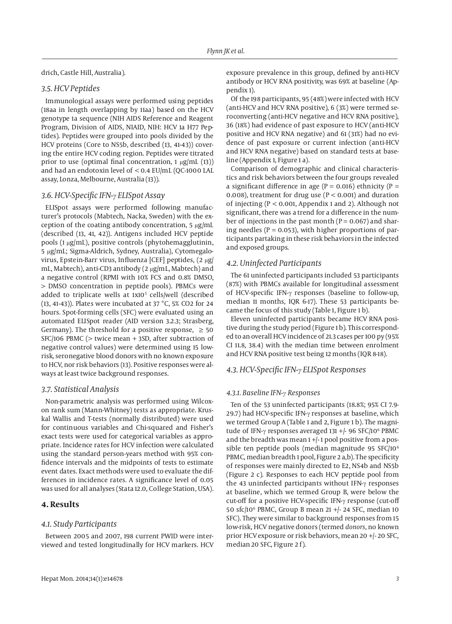drich, Castle Hill, Australia).

# *3.5. HCV Peptides*

Immunological assays were performed using peptides (18aa in length overlapping by 11aa) based on the HCV genotype 1a sequence (NIH AIDS Reference and Reagent Program, Division of AIDS, NIAID, NIH: HCV 1a H77 Peptides). Peptides were grouped into pools divided by the HCV proteins (Core to NS5b, described (13, 41-43)) covering the entire HCV coding region. Peptides were titrated prior to use (optimal final concentration, 1 μg/mL (13)) and had an endotoxin level of < 0.4 EU/mL (QC-1000 LAL assay, Lonza, Melbourne, Australia (13)).

#### *3.6. HCV-Specific IFN-γ ELISpot Assay*

ELISpot assays were performed following manufacturer's protocols (Mabtech, Nacka, Sweden) with the exception of the coating antibody concentration, 5 μg/mL (described (13, 41, 42)). Antigens included HCV peptide pools (1 μg/mL), positive controls (phytohemagglutinin, 5 μg/mL; Sigma-Aldrich, Sydney, Australia), Cytomegalovirus, Epstein-Barr virus, Influenza [CEF] peptides, (2 μg/ mL, Mabtech), anti-CD3 antibody (2 μg/mL, Mabtech) and a negative control (RPMI with 10% FCS and 0.8% DMSO, > DMSO concentration in peptide pools). PBMCs were added to triplicate wells at 1x105 cells/well (described (13, 41-43)). Plates were incubated at 37 °C, 5% CO2 for 24 hours. Spot-forming cells (SFC) were evaluated using an automated ELISpot reader (AID version 3.2.3; Strasberg, Germany). The threshold for a positive response,  $\geq 50$ SFC/106 PBMC (> twice mean + 3SD, after subtraction of negative control values) were determined using 15 lowrisk, seronegative blood donors with no known exposure to HCV, nor risk behaviors (13). Positive responses were always at least twice background responses.

#### *3.7. Statistical Analysis*

Non-parametric analysis was performed using Wilcoxon rank sum (Mann-Whitney) tests as appropriate. Kruskal Wallis and T-tests (normally distributed) were used for continuous variables and Chi-squared and Fisher's exact tests were used for categorical variables as appropriate. Incidence rates for HCV infection were calculated using the standard person-years method with 95% confidence intervals and the midpoints of tests to estimate event dates. Exact methods were used to evaluate the differences in incidence rates. A significance level of 0.05 was used for all analyses (Stata 12.0, College Station, USA).

# **4. Results**

#### *4.1. Study Participants*

Between 2005 and 2007, 198 current PWID were interviewed and tested longitudinally for HCV markers. HCV exposure prevalence in this group, defined by anti-HCV antibody or HCV RNA positivity, was 69% at baseline (Appendix 1).

Of the 198 participants, 95 (48%) were infected with HCV (anti-HCV and HCV RNA positive), 6 (3%) were termed seroconverting (anti-HCV negative and HCV RNA positive), 36 (18%) had evidence of past exposure to HCV (anti-HCV positive and HCV RNA negative) and 61 (31%) had no evidence of past exposure or current infection (anti-HCV and HCV RNA negative) based on standard tests at baseline (Appendix 1, Figure 1 a).

Comparison of demographic and clinical characteristics and risk behaviors between the four groups revealed a significant difference in age ( $P = 0.016$ ) ethnicity ( $P =$ 0.008), treatment for drug use ( $P < 0.001$ ) and duration of injecting (P < 0.001, Appendix 1 and 2). Although not significant, there was a trend for a difference in the number of injections in the past month ( $P = 0.067$ ) and sharing needles ( $P = 0.053$ ), with higher proportions of participants partaking in these risk behaviors in the infected and exposed groups.

#### *4.2. Uninfected Participants*

The 61 uninfected participants included 53 participants (87%) with PBMCs available for longitudinal assessment of HCV-specific IFN-γ responses (baseline to follow-up, median 11 months, IQR 6-17). These 53 participants became the focus of this study (Table 1, Figure 1 b).

Eleven uninfected participants became HCV RNA positive during the study period (Figure 1 b). This corresponded to an overall HCV incidence of 21.3 cases per 100 py (95% CI 11.8, 38.4) with the median time between enrolment and HCV RNA positive test being 12 months (IQR 8-18).

## *4.3. HCV-Specific IFN-γ ELISpot Responses*

#### *4.3.1. Baseline IFN-γ Responses*

Ten of the 53 uninfected participants (18.8%; 95% CI 7.9- 29.7) had HCV-specific IFN-γ responses at baseline, which we termed Group A (Table 1 and 2, Figure 1 b). The magnitude of IFN-γ responses averaged 131 +/- 96 SFC/10<sup>6</sup> PBMC and the breadth was mean 1 +/- 1 pool positive from a possible ten peptide pools (median magnitude 95 SFC/10<sup>6</sup> PBMC, median breadth 1 pool, Figure 2 a,b). The specificity of responses were mainly directed to E2, NS4b and NS5b (Figure 2 c). Responses to each HCV peptide pool from the 43 uninfected participants without IFN-γ responses at baseline, which we termed Group B, were below the cut-off for a positive HCV-specific IFN-γ response (cut-off 50 sfc/106 PBMC, Group B mean 21 +/- 24 SFC, median 10 SFC). They were similar to background responses from 15 low-risk, HCV negative donors (termed *donors*, no known prior HCV exposure or risk behaviors, mean 20 +/- 20 SFC, median 20 SFC, Figure 2 f).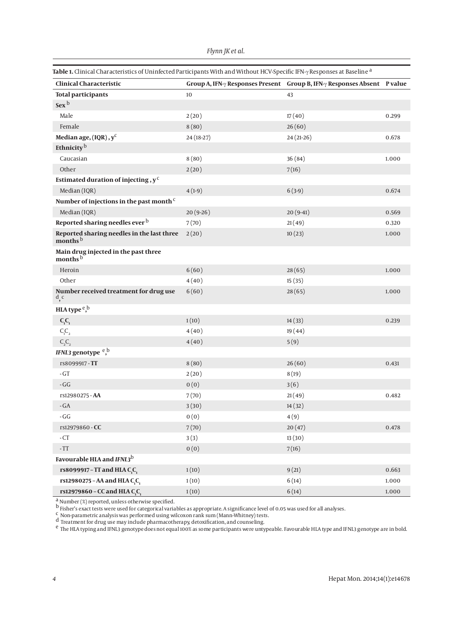| Table 1. Clinical Characteristics of Uninfected Participants With and Without HCV-Specific IFN- $\gamma$ Responses at Baseline <sup>a</sup> |  |  |
|---------------------------------------------------------------------------------------------------------------------------------------------|--|--|
|---------------------------------------------------------------------------------------------------------------------------------------------|--|--|

| <b>Clinical Characteristic</b>                                    |            | Group A, IFN- $\gamma$ Responses Present Group B, IFN- $\gamma$ Responses Absent P value |           |
|-------------------------------------------------------------------|------------|------------------------------------------------------------------------------------------|-----------|
| <b>Total participants</b>                                         | 10         | 43                                                                                       |           |
| Sex <sup>b</sup>                                                  |            |                                                                                          |           |
| Male                                                              | 2(20)      | 17(40)                                                                                   | 0.299     |
| Female                                                            | 8(80)      | 26(60)                                                                                   |           |
| Median age, (IQR), y <sup>c</sup>                                 | 24 (18-27) | $24(21-26)$                                                                              | 0.678     |
| Ethnicity <sup>b</sup>                                            |            |                                                                                          |           |
| Caucasian                                                         | 8(80)      | 36(84)                                                                                   | 1.000     |
| Other                                                             | 2(20)      | 7(16)                                                                                    |           |
| Estimated duration of injecting, $y^c$                            |            |                                                                                          |           |
| Median (IQR)                                                      | $4(1-9)$   | $6(3-9)$                                                                                 | 0.674     |
| Number of injections in the past month <sup>c</sup>               |            |                                                                                          |           |
| Median (IQR)                                                      | $20(9-26)$ | $20(9-41)$                                                                               | 0.569     |
| Reported sharing needles ever b                                   | 7(70)      | 21(49)                                                                                   | 0.320     |
| Reported sharing needles in the last three<br>months <sup>b</sup> | 2(20)      | 10(23)                                                                                   | 1.000     |
| Main drug injected in the past three<br>months <sup>b</sup>       |            |                                                                                          |           |
| Heroin                                                            | 6(60)      | 28(65)                                                                                   | 1.000     |
| Other                                                             | 4(40)      | 15(35)                                                                                   |           |
| Number received treatment for drug use<br>d, c                    | 6(60)      | 28(65)                                                                                   | 1.000     |
| HLA type $e$ <sup>b</sup> ,                                       |            |                                                                                          |           |
| $C_1C_1$                                                          | 1(10)      | 14(33)                                                                                   | 0.239     |
| $\mathsf{C}_\text{\tiny{l}}\mathsf{C}_\text{\tiny{2}}$            | 4(40)      | 19(44)                                                                                   |           |
| $C_2C_2$                                                          | 4(40)      | 5(9)                                                                                     |           |
| IFNL3 genotype <sup>e,b</sup>                                     |            |                                                                                          |           |
| rs8099917-TT                                                      | 8(80)      | 26(60)                                                                                   | 0.431     |
| $-GT$                                                             | 2(20)      | 8(19)                                                                                    |           |
| $-GG$                                                             | 0(0)       | 3(6)                                                                                     |           |
| rs12980275 - AA                                                   | 7(70)      | 21(49)                                                                                   | 0.482     |
| $-GA$                                                             | 3(30)      | 14(32)                                                                                   |           |
| - $GG$                                                            | 0(0)       | 4(9)                                                                                     |           |
| rs12979860 - CC                                                   | 7(70)      | 20(47)                                                                                   | 0.478     |
| $-CT$                                                             | 3(3)       | 13(30)                                                                                   |           |
| $\mbox{-}\mathrm{TT}$                                             | 0(0)       | 7(16)                                                                                    |           |
| Favourable HLA and IFNL3 <sup>b</sup>                             |            |                                                                                          |           |
| rs8099917 - TT and HLA C,C,                                       | 1(10)      | 9(21)                                                                                    | 0.663     |
| rs12980275 - AA and HLA C <sub>1</sub> C <sub>1</sub>             | 1(10)      | 6(14)                                                                                    | $1.000\,$ |
| rs12979860 - CC and HLA C <sub>,</sub> C <sub>,</sub>             | 1(10)      | 6(14)                                                                                    | 1.000     |

 $\frac{a}{b}$  Number (%) reported, unless otherwise specified.

b Fisher's exact tests were used for categorical variables as appropriate. A significance level of 0.05 was used for all analyses.

 $\frac{c}{c}$  Non-parametric analysis was performed using wilcoxon rank sum (Mann-Whitney) tests.

d Treatment for drug use may include pharmacotherapy, detoxification, and counseling.

 $^{\rm e}$  The HLA typing and IFNL3 genotype does not equal 100% as some participants were untypeable. Favourable HLA type and IFNL3 genotype are in bold.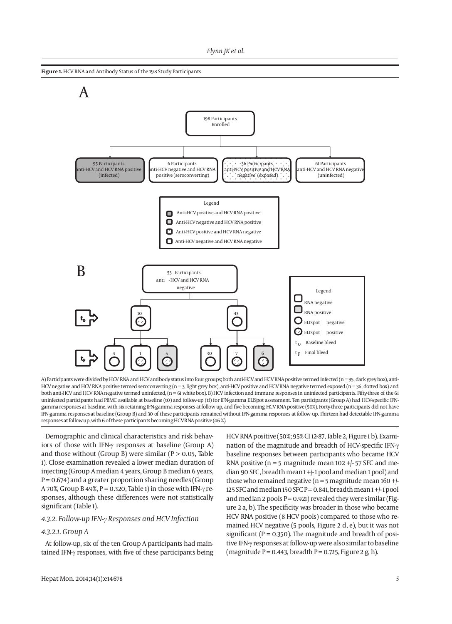

A) Participants were divided by HCV RNA and HCV antibody status into four groups; both anti-HCV and HCV RNA positive termed infected (n = 95, dark grey box), anti-HCV negative and HCV RNA positive termed seroconverting (n = 3, light grey box), anti-HCV positive and HCV RNA negative termed exposed (n = 36, dotted box) and both anti-HCV and HCV RNA negative termed uninfected, (n = 61 white box). B) HCV infection and immune responses in uninfected participants. Fifty-three of the 61 uninfected participants had PBMC available at baseline (t0) and follow-up (tf) for IFN-gamma ELISpot assessment. Ten participants (Group A) had HCV-specific IFNgamma responses at baseline, with six retaining IFN-gamma responses at follow up, and five becoming HCV RNA positive (50%). Forty-three participants did not have IFN-gamma responses at baseline (Group B) and 30 of these participants remained without IFN-gamma responses at follow up. Thirteen had detectable IFN-gamma responses at follow up, with 6 of these participants becoming HCV RNA positive (46 %).

Demographic and clinical characteristics and risk behaviors of those with IFN-γ responses at baseline (Group A) and those without (Group B) were similar ( $P > 0.05$ , Table 1). Close examination revealed a lower median duration of injecting (Group A median 4 years, Group B median 6 years,  $P = 0.674$ ) and a greater proportion sharing needles (Group A 70%, Group B 49%, P = 0.320, Table 1) in those with IFN- $\gamma$  responses, although these differences were not statistically significant (Table 1).

#### *4.3.2. Follow-up IFN-γ Responses and HCV Infection*

#### *4.3.2.1. Group A*

At follow-up, six of the ten Group A participants had maintained IFN-γ responses, with five of these participants being HCV RNA positive (50%; 95% CI 12-87, Table 2, Figure 1 b). Examination of the magnitude and breadth of HCV-specific IFN-γ baseline responses between participants who became HCV RNA positive ( $n = 5$  magnitude mean 102 +/- 57 SFC and median 90 SFC, breadth mean 1 +/- 1 pool and median 1 pool) and those who remained negative ( $n = 5$  magnitude mean 160 +/-125 SFC and median 150 SFC  $P = 0.841$ , breadth mean  $1 + (-1)$  pool and median 2 pools  $P = 0.921$ ) revealed they were similar (Figure 2 a, b). The specificity was broader in those who became HCV RNA positive (8 HCV pools) compared to those who remained HCV negative (5 pools, Figure 2 d, e), but it was not significant ( $P = 0.350$ ). The magnitude and breadth of positive IFN-γ responses at follow-up were also similar to baseline (magnitude  $P = 0.443$ , breadth  $P = 0.725$ , Figure 2 g, h).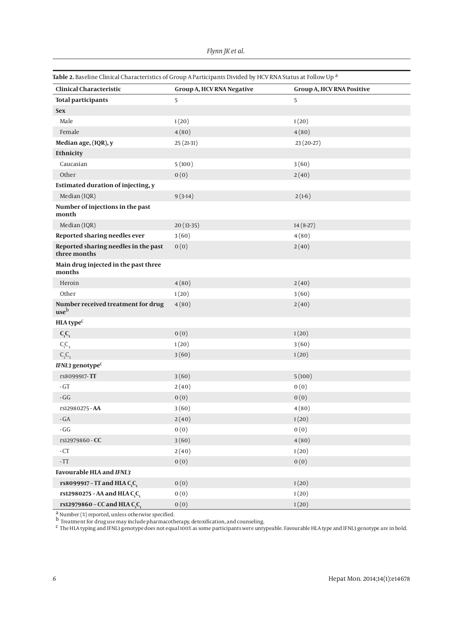*Flynn JK et al.*

| Table 2. Baseline Clinical Characteristics of Group A Participants Divided by HCV RNA Status at Follow Up <sup>a</sup> |  |  |  |  |
|------------------------------------------------------------------------------------------------------------------------|--|--|--|--|
|------------------------------------------------------------------------------------------------------------------------|--|--|--|--|

| <b>Clinical Characteristic</b>                        | <b>Group A, HCV RNA Negative</b> | <b>Group A, HCV RNA Positive</b> |
|-------------------------------------------------------|----------------------------------|----------------------------------|
| <b>Total participants</b>                             | 5                                | 5                                |
| <b>Sex</b>                                            |                                  |                                  |
| Male                                                  | 1(20)                            | 1(20)                            |
| Female                                                | 4(80)                            | 4(80)                            |
| Median age, (IQR), y                                  | $25(21-31)$                      | 23 (20-27)                       |
| Ethnicity                                             |                                  |                                  |
| Caucasian                                             | 5(100)                           | 3(60)                            |
| Other                                                 | 0(0)                             | 2(40)                            |
| <b>Estimated duration of injecting, y</b>             |                                  |                                  |
| Median (IQR)                                          | $9(3-14)$                        | $2(1-6)$                         |
| Number of injections in the past<br>month             |                                  |                                  |
| Median (IQR)                                          | $20(13-35)$                      | $14(8-27)$                       |
| Reported sharing needles ever                         | 3(60)                            | 4(80)                            |
| Reported sharing needles in the past<br>three months  | 0(0)                             | 2(40)                            |
| Main drug injected in the past three<br>months        |                                  |                                  |
| Heroin                                                | 4(80)                            | 2(40)                            |
| Other                                                 | 1(20)                            | 3(60)                            |
| Number received treatment for drug<br>useb            | 4(80)                            | 2(40)                            |
| HLA type <sup>c</sup>                                 |                                  |                                  |
| $C_1C_1$                                              | 0(0)                             | 1(20)                            |
| $\mathsf{C}_\mathsf{i}\mathsf{C}_\mathsf{2}$          | 1(20)                            | 3(60)                            |
| $C_2C_2$                                              | 3(60)                            | 1(20)                            |
| IFNL3 genotype <sup>c</sup>                           |                                  |                                  |
| rs8099917-TT                                          | 3(60)                            | 5(100)                           |
| $\mbox{-}\, \mathrm{GT}$                              | 2(40)                            | 0(0)                             |
| $\mbox{-}\, G G$                                      | 0(0)                             | 0(0)                             |
| rs12980275 - AA                                       | 3(60)                            | 4(80)                            |
| - GA                                                  | 2(40)                            | 1(20)                            |
| - $\mathbb{G}\mathbb{G}$                              | 0(0)                             | 0(0)                             |
| rs12979860 - CC                                       | 3(60)                            | 4(80)                            |
| $\hbox{-}\operatorname{CT}$                           | 2(40)                            | 1(20)                            |
| $\mbox{-}\mathrm{TT}$                                 | 0(0)                             | 0(0)                             |
| <b>Favourable HLA and IFNL3</b>                       |                                  |                                  |
| rs8099917 - TT and HLA C <sub>1</sub> C <sub>1</sub>  | 0(0)                             | 1(20)                            |
| rs12980275 - AA and HLA C <sub>,</sub> C <sub>,</sub> | 0(0)                             | 1(20)                            |
| rs12979860 - CC and HLA C <sub>,</sub> C <sub>1</sub> | 0(0)                             | 1(20)                            |

 $\frac{a}{b}$  Number (%) reported, unless otherwise specified.

 $^{\rm b}$  Treatment for drug use may include pharmacotherapy, detoxification, and counseling.

 $^{\mathsf{c}}$  The HLA typing and IFNL3 genotype does not equal 100% as some participants were untypeable. Favourable HLA type and IFNL3 genotype are in bold.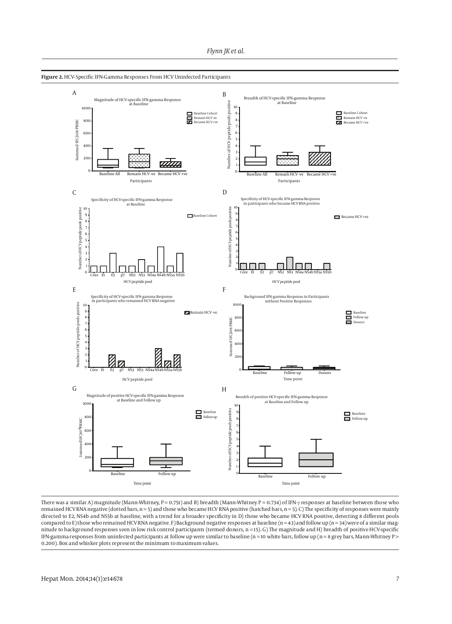



There was a similar A) magnitude (Mann-Whitney, P = 0.751) and B) breadth (Mann-Whitney P = 0.734) of IFN-γ responses at baseline between those who remained HCV RNA negative (dotted bars, n = 5) and those who became HCV RNA positive (hatched bars, n = 5). C) The specificity of responses were mainly directed to E2, NS4b and NS5b at baseline, with a trend for a broader specificity in D) those who became HCV RNA positive, detecting 8 different pools compared to E) those who remained HCV RNA negative. F) Background negative responses at baseline (n = 43) and follow up (n = 34) were of a similar magnitude to background responses seen in low risk control participants (termed donors, n = 15). G) The magnitude and H) breadth of positive HCV-specific IFN-gamma responses from uninfected participants at follow up were similar to baseline ( $n = 10$  white bars, follow up ( $n = 8$  grey bars, Mann-Whitney P > 0.200). Box and whisker plots represent the minimum to maximum values.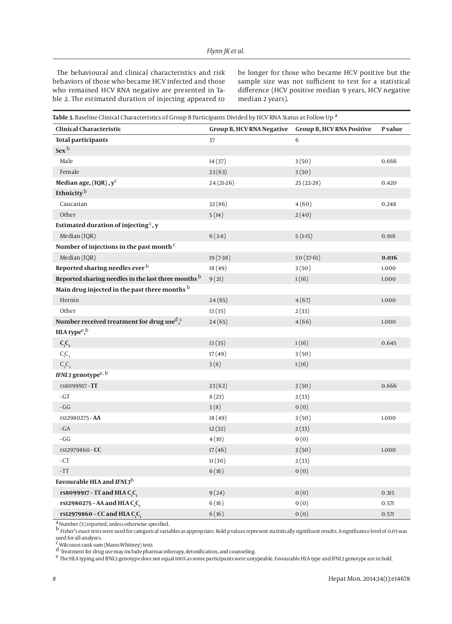The behavioural and clinical characteristics and risk behaviors of those who became HCV infected and those who remained HCV RNA negative are presented in Table 2. The estimated duration of injecting appeared to be longer for those who became HCV positive but the sample size was not sufficient to test for a statistical difference (HCV positive median 9 years, HCV negative median 2 years).

| <b>Table 3.</b> Baseline Clinical Characteristics of Group B Participants Divided by HCV RNA Status at Follow Up <sup>a</sup> |  |  |  |
|-------------------------------------------------------------------------------------------------------------------------------|--|--|--|
|-------------------------------------------------------------------------------------------------------------------------------|--|--|--|

| <b>Clinical Characteristic</b>                                     | <b>Group B, HCV RNA Negative</b> | <b>Group B, HCV RNA Positive</b> | P value |
|--------------------------------------------------------------------|----------------------------------|----------------------------------|---------|
| <b>Total participants</b>                                          | 37                               | 6                                |         |
| Sex <sup>b</sup>                                                   |                                  |                                  |         |
| Male                                                               | 14(37)                           | 3(50)                            | 0.666   |
| Female                                                             | 23(63)                           | 3(50)                            |         |
| Median age, (IQR), y <sup>c</sup>                                  | 24 (21-26)                       | $25(22-28)$                      | 0.420   |
| Ethnicity <sup>b</sup>                                             |                                  |                                  |         |
| Caucasian                                                          | 32(86)                           | 4(60)                            | 0.248   |
| Other                                                              | 5(14)                            | 2(40)                            |         |
| Estimated duration of injecting $\cdot$ , y                        |                                  |                                  |         |
| Median (IQR)                                                       | $6(3-8)$                         | $5(1-15)$                        | 0.916   |
| Number of injections in the past month <sup>c</sup>                |                                  |                                  |         |
| Median (IQR)                                                       | $19(7-38)$                       | $50(37-61)$                      | 0.016   |
| Reported sharing needles ever b                                    | 18(49)                           | 3(50)                            | 1.000   |
| Reported sharing needles in the last three months b                | 9(21)                            | 1(16)                            | 1.000   |
| Main drug injected in the past three months b                      |                                  |                                  |         |
| Heroin                                                             | 24(65)                           | 4(67)                            | 1.000   |
| Other                                                              | 13(35)                           | 2(33)                            |         |
| Number received treatment for drug use <sup>d</sup> , <sup>c</sup> | 24(65)                           | 4(66)                            | 1.000   |
| HLA type $e$ <sup>b</sup>                                          |                                  |                                  |         |
| $C_1C_1$                                                           | 13(35)                           | 1(16)                            | 0.645   |
| $C_1C_2$                                                           | 17(49)                           | 3(50)                            |         |
| $C_2C_2$                                                           | 3(8)                             | 1(16)                            |         |
| IFNL3 genotype <sup>e, b</sup>                                     |                                  |                                  |         |
| rs8099917-TT                                                       | 23(62)                           | 3(50)                            | 0.666   |
| $-GT$                                                              | 8(23)                            | 2(33)                            |         |
| $\mbox{-}\, G G$                                                   | 3(8)                             | 0(0)                             |         |
| rs12980275 - AA                                                    | 18(49)                           | 3(50)                            | 1.000   |
| $-GA$                                                              | 12(32)                           | 2(33)                            |         |
| $-GG$                                                              | 4(10)                            | 0(0)                             |         |
| rs12979860 - CC                                                    | 17(46)                           | 3(50)                            | 1.000   |
| $-CT$                                                              | 11(30)                           | 2(33)                            |         |
| $\mbox{-}\mathrm{TT}$                                              | 6(16)                            | 0(0)                             |         |
| Favourable HLA and IFNL3b                                          |                                  |                                  |         |
| rs8099917 - TT and HLA C, C,                                       | 9(24)                            | 0(0)                             | 0.315   |
| rs12980275 - AA and HLA C <sub>1</sub> C <sub>1</sub>              | 6(16)                            | 0(0)                             | 0.571   |
| rs12979860 - CC and HLA C,C,                                       | 6(16)                            | 0(0)                             | 0.571   |

a Number (%) reported, unless otherwise specified.

b Fisher's exact tests were used for categorical variables as appropriate. Bold p values represent statistically significant results. A significance level of 0.05 was used for all analyses.<br><sup>C</sup> Wilcoxon rank sum (Mann-Whitney) tests

d Treatment for drug use may include pharmacotherapy, detoxification, and counseling.

e The HLA typing and IFNL3 genotype does not equal 100% as some participants were untypeable. Favourable HLA type and IFNL3 genotype are in bold.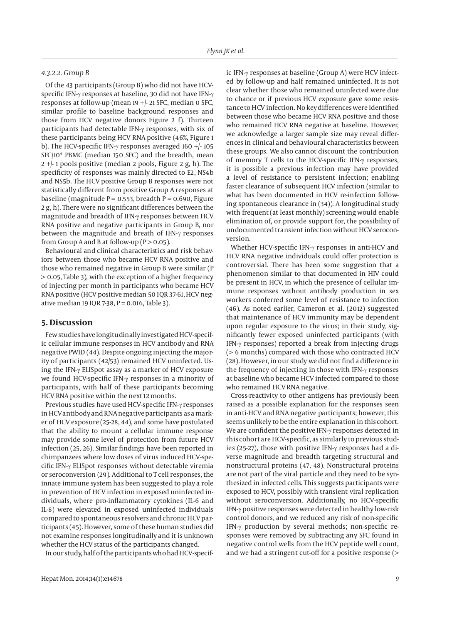#### *4.3.2.2. Group B*

Of the 43 participants (Group B) who did not have HCVspecific IFN-γ responses at baseline, 30 did not have IFN-γ responses at follow-up (mean 19 +/- 21 SFC, median 0 SFC, similar profile to baseline background responses and those from HCV negative donors Figure 2 f). Thirteen participants had detectable IFN-γ responses, with six of these participants being HCV RNA positive (46%, Figure 1 b). The HCV-specific IFN-γ responses averaged 160 +/- 105 SFC/106 PBMC (median 150 SFC) and the breadth, mean  $2 +$ -1 pools positive (median 2 pools, Figure 2 g, h). The specificity of responses was mainly directed to E2, NS4b and NS5b. The HCV positive Group B responses were not statistically different from positive Group A responses at baseline (magnitude  $P = 0.553$ , breadth  $P = 0.690$ , Figure 2 g, h). There were no significant differences between the magnitude and breadth of IFN-γ responses between HCV RNA positive and negative participants in Group B, nor between the magnitude and breath of IFN-γ responses from Group A and B at follow-up ( $P > 0.05$ ).

Behavioural and clinical characteristics and risk behaviors between those who became HCV RNA positive and those who remained negative in Group B were similar (P > 0.05, Table 3), with the exception of a higher frequency of injecting per month in participants who became HCV RNA positive (HCV positive median 50 IQR 37-61, HCV negative median 19 IQR 7-38,  $P = 0.016$ , Table 3).

## **5. Discussion**

Few studies have longitudinally investigated HCV-specific cellular immune responses in HCV antibody and RNA negative PWID (44). Despite ongoing injecting the majority of participants (42/53) remained HCV uninfected. Using the IFN-γ ELISpot assay as a marker of HCV exposure we found HCV-specific IFN-γ responses in a minority of participants, with half of these participants becoming HCV RNA positive within the next 12 months.

Previous studies have used HCV-specific IFN-γ responses in HCV antibody and RNA negative participants as a marker of HCV exposure (25-28, 44), and some have postulated that the ability to mount a cellular immune response may provide some level of protection from future HCV infection (25, 26). Similar findings have been reported in chimpanzees where low doses of virus induced HCV-specific IFN-γ ELISpot responses without detectable viremia or seroconversion (29). Additional to T cell responses, the innate immune system has been suggested to play a role in prevention of HCV infection in exposed uninfected individuals, where pro-inflammatory cytokines (IL-6 and IL-8) were elevated in exposed uninfected individuals compared to spontaneous resolvers and chronic HCV participants (45). However, some of these human studies did not examine responses longitudinally and it is unknown whether the HCV status of the participants changed.

In our study, half of the participants who had HCV-specif-

ic IFN-γ responses at baseline (Group A) were HCV infected by follow-up and half remained uninfected. It is not clear whether those who remained uninfected were due to chance or if previous HCV exposure gave some resistance to HCV infection. No key differences were identified between those who became HCV RNA positive and those who remained HCV RNA negative at baseline. However, we acknowledge a larger sample size may reveal differences in clinical and behavioural characteristics between these groups. We also cannot discount the contribution of memory T cells to the HCV-specific IFN-γ responses, it is possible a previous infection may have provided a level of resistance to persistent infection; enabling faster clearance of subsequent HCV infection (similar to what has been documented in HCV re-infection following spontaneous clearance in (34)). A longitudinal study with frequent (at least monthly) screening would enable elimination of, or provide support for, the possibility of undocumented transient infection without HCV seroconversion.

Whether HCV-specific IFN-γ responses in anti-HCV and HCV RNA negative individuals could offer protection is controversial. There has been some suggestion that a phenomenon similar to that documented in HIV could be present in HCV, in which the presence of cellular immune responses without antibody production in sex workers conferred some level of resistance to infection (46). As noted earlier, Cameron et al. (2012) suggested that maintenance of HCV immunity may be dependent upon regular exposure to the virus; in their study, significantly fewer exposed uninfected participants (with IFN-γ responses) reported a break from injecting drugs (> 6 months) compared with those who contracted HCV (28). However, in our study we did not find a difference in the frequency of injecting in those with IFN-γ responses at baseline who became HCV infected compared to those who remained HCV RNA negative.

Cross-reactivity to other antigens has previously been raised as a possible explanation for the responses seen in anti-HCV and RNA negative participants; however, this seems unlikely to be the entire explanation in this cohort. We are confident the positive IFN-γ responses detected in this cohort are HCV-specific, as similarly to previous studies (25-27), those with positive IFN-γ responses had a diverse magnitude and breadth targeting structural and nonstructural proteins (47, 48). Nonstructural proteins are not part of the viral particle and they need to be synthesized in infected cells. This suggests participants were exposed to HCV, possibly with transient viral replication without seroconversion. Additionally, no HCV-specific IFN-γ positive responses were detected in healthy low-risk control donors, and we reduced any risk of non-specific IFN-γ production by several methods; non-specific responses were removed by subtracting any SFC found in negative control wells from the HCV peptide well count, and we had a stringent cut-off for a positive response (>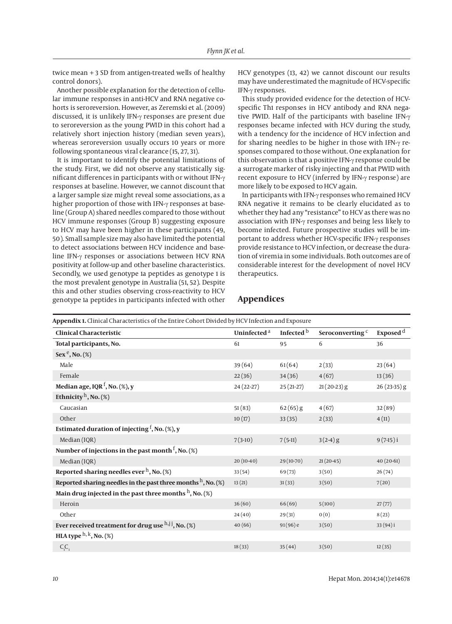twice mean + 3 SD from antigen-treated wells of healthy control donors).

Another possible explanation for the detection of cellular immune responses in anti-HCV and RNA negative cohorts is seroreversion. However, as Zeremski et al. (2009) discussed, it is unlikely IFN-γ responses are present due to seroreversion as the young PWID in this cohort had a relatively short injection history (median seven years), whereas seroreversion usually occurs 10 years or more following spontaneous viral clearance (15, 27, 31).

It is important to identify the potential limitations of the study. First, we did not observe any statistically significant differences in participants with or without IFN-γ responses at baseline. However, we cannot discount that a larger sample size might reveal some associations, as a higher proportion of those with IFN-γ responses at baseline (Group A) shared needles compared to those without HCV immune responses (Group B) suggesting exposure to HCV may have been higher in these participants (49, 50). Small sample size may also have limited the potential to detect associations between HCV incidence and baseline IFN-γ responses or associations between HCV RNA positivity at follow-up and other baseline characteristics. Secondly, we used genotype 1a peptides as genotype 1 is the most prevalent genotype in Australia (51, 52). Despite this and other studies observing cross-reactivity to HCV genotype 1a peptides in participants infected with other HCV genotypes (13, 42) we cannot discount our results may have underestimated the magnitude of HCV-specific IFN-γ responses.

This study provided evidence for the detection of HCVspecific Th1 responses in HCV antibody and RNA negative PWID. Half of the participants with baseline IFN-γ responses became infected with HCV during the study, with a tendency for the incidence of HCV infection and for sharing needles to be higher in those with IFN-γ responses compared to those without. One explanation for this observation is that a positive IFN-γ response could be a surrogate marker of risky injecting and that PWID with recent exposure to HCV (inferred by IFN-γ response) are more likely to be exposed to HCV again.

In participants with IFN-γ responses who remained HCV RNA negative it remains to be clearly elucidated as to whether they had any "resistance" to HCV as there was no association with IFN-γ responses and being less likely to become infected. Future prospective studies will be important to address whether HCV-specific IFN-γ responses provide resistance to HCV infection, or decrease the duration of viremia in some individuals. Both outcomes are of considerable interest for the development of novel HCV therapeutics.

| Appendix 1. Clinical Characteristics of the Entire Cohort Divided by HCV Infection and Exposure |                         |                       |                             |                      |  |
|-------------------------------------------------------------------------------------------------|-------------------------|-----------------------|-----------------------------|----------------------|--|
| <b>Clinical Characteristic</b>                                                                  | Uninfected <sup>a</sup> | Infected <sup>b</sup> | Seroconverting <sup>c</sup> | Exposed <sup>d</sup> |  |
| Total participants, No.                                                                         | 61                      | 95                    | 6                           | 36                   |  |
| $Sex^e$ , No. $(\%)$                                                                            |                         |                       |                             |                      |  |
| Male                                                                                            | 39(64)                  | 61(64)                | 2(33)                       | 23(64)               |  |
| Female                                                                                          | 22(36)                  | 34(36)                | 4(67)                       | 13(36)               |  |
| Median age, IQR <sup>f</sup> , No. $(\%)$ , y                                                   | 24 (22-27)              | $25(21-27)$           | $21(20-23)$ g               | $26(23-35)$ g        |  |
| Ethnicity <sup>h</sup> , No. (%)                                                                |                         |                       |                             |                      |  |
| Caucasian                                                                                       | 51(83)                  | $62(65)$ g            | 4(67)                       | 32(89)               |  |
| Other                                                                                           | 10(17)                  | 33(35)                | 2(33)                       | 4(11)                |  |
| Estimated duration of injecting $f$ , No. (%), y                                                |                         |                       |                             |                      |  |
| Median (IQR)                                                                                    | $7(3-10)$               | $7(5-11)$             | $3(2-4)g$                   | $9(7-15)i$           |  |
| Number of injections in the past month $f$ , No. (%)                                            |                         |                       |                             |                      |  |
| Median (IQR)                                                                                    | $20(10-40)$             | 29 (10-70)            | $21(20-45)$                 | $40(20-61)$          |  |
| Reported sharing needles ever $^{\rm h}$ , No. (%)                                              | 33(54)                  | 69(73)                | 3(50)                       | 26(74)               |  |
| Reported sharing needles in the past three months $h$ , No. (%)                                 | 13(21)                  | 31(33)                | 3(50)                       | 7(20)                |  |
| Main drug injected in the past three months $h$ , No. (%)                                       |                         |                       |                             |                      |  |
| Heroin                                                                                          | 36(60)                  | 66(69)                | 5(100)                      | 27(77)               |  |
| Other                                                                                           | 24(40)                  | 29(31)                | 0(0)                        | 8(23)                |  |
| Ever received treatment for drug use $h, j, No. (%)$                                            | 40(66)                  | $91(96)$ e            | 3(50)                       | 33(94)i              |  |
| HLA type $h, k, No. (%)$                                                                        |                         |                       |                             |                      |  |
| $C_1C_1$                                                                                        | 18(33)                  | 35(44)                | 3(50)                       | 12(35)               |  |

# **Appendices**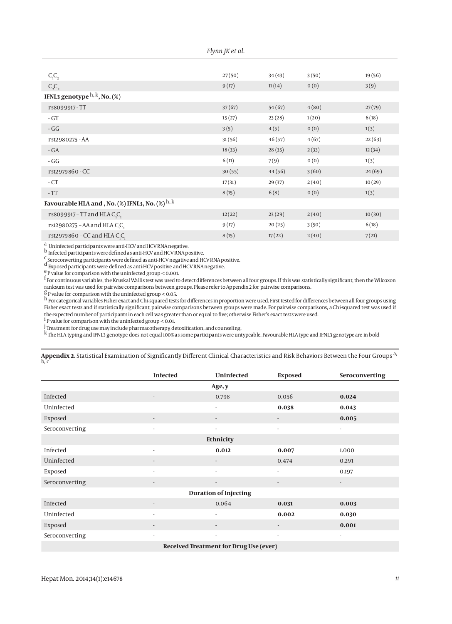| Flynn JK et al. |  |  |  |  |
|-----------------|--|--|--|--|
|-----------------|--|--|--|--|

| $C_1C_2$                                                   | 27(50) | 34(43) | 3(50) | 19(56) |
|------------------------------------------------------------|--------|--------|-------|--------|
| $C_2C_2$                                                   | 9(17)  | 11(14) | 0(0)  | 3(9)   |
| IFNL3 genotype $h, k$ , No. (%)                            |        |        |       |        |
| rs8099917-TT                                               | 37(67) | 54(67) | 4(80) | 27(79) |
| $-GT$                                                      | 15(27) | 23(28) | 1(20) | 6(18)  |
| $-GG$                                                      | 3(5)   | 4(5)   | 0(0)  | 1(3)   |
| rs12980275 - AA                                            | 31(56) | 46(57) | 4(67) | 22(63) |
| $-GA$                                                      | 18(33) | 28(35) | 2(33) | 12(34) |
| $-GG$                                                      | 6(11)  | 7(9)   | 0(0)  | 1(3)   |
| rs12979860 - CC                                            | 30(55) | 44(56) | 3(60) | 24(69) |
| $-CT$                                                      | 17(31) | 29(37) | 2(40) | 10(29) |
| $-TT$                                                      | 8(15)  | 6(8)   | 0(0)  | 1(3)   |
| Favourable HLA and , No. (%) IFNL3, No. (%) $^{\rm h,\,k}$ |        |        |       |        |
| rs8099917 - TT and HLA C,C,                                | 12(22) | 23(29) | 2(40) | 10(30) |
| rs12980275 - AA and HLA C,C,                               | 9(17)  | 20(25) | 3(50) | 6(18)  |
| rs12979860 - CC and HLA C <sub>1</sub> C <sub>1</sub>      | 8(15)  | 17(22) | 2(40) | 7(21)  |

a Uninfected participants were anti-HCV and HCV RNA negative.

b Infected participants were defined as anti-HCV and HCV RNA positive.

<sup>c</sup> Seroconverting participants were defined as anti-HCV negative and HCV RNA positive.

d Exposed participants were defined as anti-HCV positive and HCV RNA negative.

 $e^{\frac{e}{c}}$  P value for comparison with the uninfected group < 0.001.

 $^{\mathsf{f}}$  For continuous variables, the Kruskal Wallis test was used to detect differences between all four groups. If this was statistically significant, then the Wilcoxon ranksum test was used for pairwise comparisons between groups. Please refer to Appendix 2 for pairwise comparisons.

 $g_{\rm P}$  value for comparison with the uninfected group < 0.05.

h For categorical variables Fisher exact and Chi-squared tests for differences in proportion were used. First tested for differences between all four groups using Fisher exact tests and if statistically significant, pairwise comparisons between groups were made. For pairwise comparisons, a Chi-squared test was used if the expected number of participants in each cell was greater than or equal to five; otherwise Fisher's exact tests were used.<br><sup>1</sup> P value for comparison with the uninfected group < 0.01.

<sup>j</sup> Treatment for drug use may include pharmacotherapy, detoxification, and counseling.

k The HLA typing and IFNL3 genotype does not equal 100% as some participants were untypeable. Favourable HLA type and IFNL3 genotype are in bold k HLA typing and IFNL3 genotype are in bold

**Appendix 2.** Statistical Examination of Significantly Different Clinical Characteristics and Risk Behaviors Between the Four Groups a, b, c

|                | <b>Infected</b>          | Uninfected                             | <b>Exposed</b>           | Seroconverting           |  |  |  |
|----------------|--------------------------|----------------------------------------|--------------------------|--------------------------|--|--|--|
| Age, y         |                          |                                        |                          |                          |  |  |  |
| Infected       | $\overline{\phantom{a}}$ | 0.798                                  | 0.056                    | 0.024                    |  |  |  |
| Uninfected     |                          | $\overline{\phantom{a}}$               | 0.038                    | 0.043                    |  |  |  |
| Exposed        | $\overline{\phantom{a}}$ | $\overline{\phantom{a}}$               | $\overline{\phantom{a}}$ | 0.005                    |  |  |  |
| Seroconverting | $\overline{\phantom{a}}$ | $\overline{\phantom{a}}$               | $\overline{\phantom{a}}$ | $\overline{\phantom{a}}$ |  |  |  |
|                |                          | Ethnicity                              |                          |                          |  |  |  |
| Infected       | $\overline{\phantom{a}}$ | 0.012                                  | 0.007                    | 1.000                    |  |  |  |
| Uninfected     | $\overline{\phantom{a}}$ | $\overline{\phantom{a}}$               | 0.474                    | 0.291                    |  |  |  |
| Exposed        | $\overline{a}$           | $\overline{\phantom{a}}$               | $\overline{\phantom{a}}$ | 0.197                    |  |  |  |
| Seroconverting | $\overline{\phantom{a}}$ | $\overline{\phantom{a}}$               | $\overline{\phantom{a}}$ | $\overline{\phantom{a}}$ |  |  |  |
|                |                          | <b>Duration of Injecting</b>           |                          |                          |  |  |  |
| Infected       | $\overline{\phantom{a}}$ | 0.064                                  | 0.031                    | 0.003                    |  |  |  |
| Uninfected     | $\blacksquare$           | $\overline{\phantom{a}}$               | 0.002                    | 0.030                    |  |  |  |
| Exposed        | $\overline{\phantom{m}}$ | $\overline{\phantom{a}}$               |                          | 0.001                    |  |  |  |
| Seroconverting | $\overline{\phantom{a}}$ | $\overline{\phantom{a}}$               | $\overline{\phantom{a}}$ | $\overline{\phantom{a}}$ |  |  |  |
|                |                          | Received Treatment for Drug Use (ever) |                          |                          |  |  |  |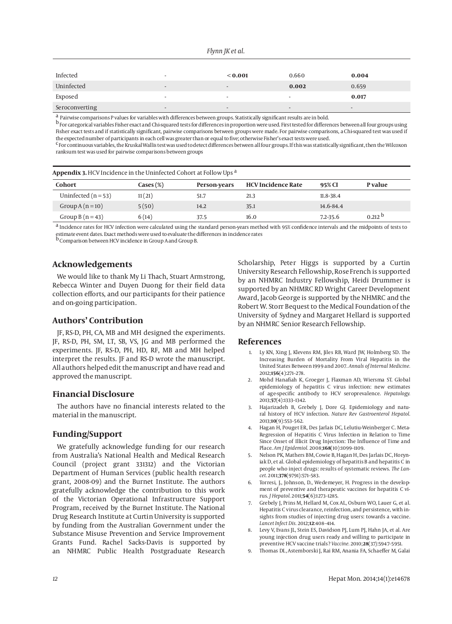| Flynn JK et al. |  |  |
|-----------------|--|--|
|                 |  |  |

| Infected       | $\overline{\phantom{a}}$ | < 0.001                  | 0.660                    | 0.004                    |
|----------------|--------------------------|--------------------------|--------------------------|--------------------------|
| Uninfected     | $\overline{\phantom{0}}$ | $\overline{\phantom{0}}$ | 0.002                    | 0.659                    |
| Exposed        | $\overline{\phantom{a}}$ | $\overline{\phantom{a}}$ | $\,$                     | 0.017                    |
| Seroconverting | $\overline{\phantom{a}}$ | $\overline{\phantom{0}}$ | $\overline{\phantom{a}}$ | $\overline{\phantom{a}}$ |

a Pairwise comparisons P values for variables with differences between groups. Statistically significant results are in bold.

b For categorical variables Fisher exact and Chi-squared tests for differences in proportion were used. First tested for differences between all four groups using Fisher exact tests and if statistically significant, pairwise comparisons between groups were made. For pairwise comparisons, a Chi-squared test was used if the expected number of participants in each cell was greater than or equal to five; otherwise Fisher's exact tests were used.

<sup>C</sup> For continuous variables, the Kruskal Wallis test was used to detect differences between all four groups. If this was statistically significant, then the Wilcoxon ranksum test was used for pairwise comparisons between groups

| <b>Appendix 3.</b> HCV Incidence in the Uninfected Cohort at Follow Ups <sup>a</sup> |                    |              |                           |              |                      |
|--------------------------------------------------------------------------------------|--------------------|--------------|---------------------------|--------------|----------------------|
| Cohort                                                                               | $\text{Cases}(\%)$ | Person-years | <b>HCV Incidence Rate</b> | 95% CI       | P value              |
| Uninfected $(n = 53)$                                                                | 11(21)             | 51.7         | 21.3                      | 11.8-38.4    |                      |
| Group $A(n=10)$                                                                      | 5(50)              | 14.2         | 35.1                      | 14.6-84.4    |                      |
| Group B $(n=43)$                                                                     | 6(14)              | 37.5         | 16.0                      | $7.2 - 35.6$ | $0.212$ <sup>D</sup> |

a Incidence rates for HCV infection were calculated using the standard person-years method with 95% confidence intervals and the midpoints of tests to estimate event dates. Exact methods were used to evaluate the differences in incidence rates<br><sup>b</sup> Comparison between HCV incidence in Group A and Group B.

## **Acknowledgements**

We would like to thank My Li Thach, Stuart Armstrong, Rebecca Winter and Duyen Duong for their field data collection efforts, and our participants for their patience and on-going participation.

## **Authors' Contribution**

JF, RS-D, PH, CA, MB and MH designed the experiments. JF, RS-D, PH, SM, LT, SB, VS, JG and MB performed the experiments. JF, RS-D, PH, HD, RF, MB and MH helped interpret the results. JF and RS-D wrote the manuscript. All authors helped edit the manuscript and have read and approved the manuscript.

## **Financial Disclosure**

The authors have no financial interests related to the material in the manuscript.

## **Funding/Support**

We gratefully acknowledge funding for our research from Australia's National Health and Medical Research Council (project grant 331312) and the Victorian Department of Human Services (public health research grant, 2008-09) and the Burnet Institute. The authors gratefully acknowledge the contribution to this work of the Victorian Operational Infrastructure Support Program, received by the Burnet Institute. The National Drug Research Institute at Curtin University is supported by funding from the Australian Government under the Substance Misuse Prevention and Service Improvement Grants Fund. Rachel Sacks-Davis is supported by an NHMRC Public Health Postgraduate Research Scholarship, Peter Higgs is supported by a Curtin University Research Fellowship, Rose French is supported by an NHMRC Industry Fellowship, Heidi Drummer is supported by an NHMRC RD Wright Career Development Award, Jacob George is supported by the NHMRC and the Robert W. Storr Bequest to the Medical Foundation of the University of Sydney and Margaret Hellard is supported by an NHMRC Senior Research Fellowship.

#### **References**

- 1. Ly KN, Xing J, Klevens RM, Jiles RB, Ward JW, Holmberg SD. The Increasing Burden of Mortality From Viral Hepatitis in the United States Between 1999 and 2007. *Annals of Internal Medicine.* 2012;**156**(4):271–278.
- 2. Mohd Hanafiah K, Groeger J, Flaxman AD, Wiersma ST. Global epidemiology of hepatitis C virus infection: new estimates of age-specific antibody to HCV seroprevalence. *Hepatology.* 2013;**57**(4):1333–1342.
- 3. Hajarizadeh B, Grebely J, Dore GJ. Epidemiology and natural history of HCV infection. *Nature Rev Gastroenterol Hepatol.* 2013;**10**(9):553–562.
- 4. Hagan H, Pouget ER, Des Jarlais DC, Lelutiu-Weinberger C. Meta-Regression of Hepatitis C Virus Infection in Relation to Time Since Onset of Illicit Drug Injection: The Influence of Time and Place. *Am J Epidemiol.* 2008;**168**(10):1099–1109.
- 5. Nelson PK, Mathers BM, Cowie B, Hagan H, Des Jarlais DC, Horyniak D, et al. Global epidemiology of hepatitis B and hepatitis C in people who inject drugs: results of systematic reviews. *The Lancet.* 2011;**378**(9791):571–583.
- 6. Torresi, J., Johnson, D., Wedemeyer, H. Progress in the development of preventive and therapeutic vaccines for hepatitis C virus. *J Hepatol.* 2011;**54**(6):1273–1285.
- Grebely J, Prins M, Hellard M, Cox AL, Osburn WO, Lauer G, et al. Hepatitis C virus clearance, reinfection, and persistence, with insights from studies of injecting drug users: towards a vaccine. *Lancet Infect Dis.* 2012;**12**:408–414.
- 8. Levy V, Evans JL, Stein ES, Davidson PJ, Lum PJ, Hahn JA, et al. Are young injection drug users ready and willing to participate in preventive HCV vaccine trials? *Vaccine.* 2010;**28**(37):5947–5951.
- 9. Thomas DL, Astemborski J, Rai RM, Anania FA, Schaeffer M, Galai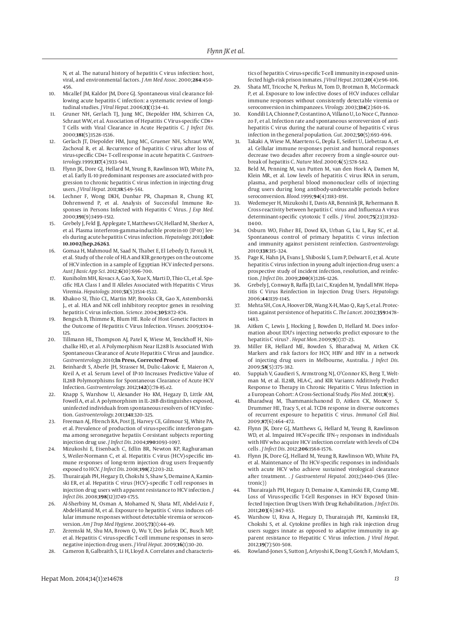N, et al. The natural history of hepatitis C virus infection: host, viral, and environmental factors. *J Am Med Assoc.* 2000;**284**:450– 456.

- 10. Micallef JM, Kaldor JM, Dore GJ. Spontaneous viral clearance following acute hepatitis C infection: a systematic review of longitudinal studies. *J Viral Hepat.* 2006;**13**(1):34–41.
- 11. Gruner NH, Gerlach TJ, Jung MC, Diepolder HM, Schirren CA, Schraut WW, et al. Association of Hepatitis C Virus-specific CD8+ T Cells with Viral Clearance in Acute Hepatitis C. *J Infect Dis.* 2000;**181**(5):1528–1536.
- 12. Gerlach JT, Diepolder HM, Jung MC, Gruener NH, Schraut WW, Zachoval R, et al. Recurrence of hepatitis C virus after loss of virus-specific CD4+ T-cell response in acute hepatitis C. *Gastroenterology.* 1999;**117**(4):933–941.
- 13. Flynn JK, Dore GJ, Hellard M, Yeung B, Rawlinson WD, White PA, et al. Early IL-10 predominant responses are associated with progression to chronic hepatitis C virus infection in injecting drug users. *J Viral Hepat.* 2011;**18**:549–561.
- 14. Lechner F, Wong DKH, Dunbar PR, Chapman R, Chung RT, Dohrenwend P, et al. Analysis of Successful Immune Responses in Persons Infected with Hepatitis C Virus. *J Exp Med.* 2000;**191**(9):1499–1512.
- 15. Grebely J, Feld JJ, Applegate T, Matthews GV, Hellard M, Sherker A, et al. Plasma interferon-gamma-inducible protein-10 (IP-10) levels during acute hepatitis C virus infection. *Hepatology.* 2013;**doi: 10.1002/hep.26263**.
- 16. Gomaa H, Mahmoud M, Saad N, Thabet E, El Lebedy D, Farouk H, et al. Study of the role of HLA and KIR genotypes on the outcome of HCV infection in a sample of Egyptian HCV infected persons. *Aust J Basic App Sci.* 2012;**6**(10):696–700.
- 17. Kuniholm MH, Kovacs A, Gao X, Xue X, Marti D, Thio CL, et al. Specific HLA Class I and II Alleles Associated with Hepatitis C Virus Viremia. *Hepatology.* 2010;**51**(5):1514–1522.
- 18. Khakoo SI, Thio CL, Martin MP, Brooks CR, Gao X, Astemborski. J., et al. HLA and NK cell inhibitory receptor genes in resolving hepatitis C virus infection. *Science.* 2004;**305**:872–874.
- 19. Bengsch B, Thimme R, Blum HE. Role of Host Genetic Factors in the Outcome of Hepatitis C Virus Infection. *Viruses.* 2009;**1**:104– 125.
- 20. Tillmann HL, Thompson AJ, Patel K, Wiese M, Tenckhoff H, Nischalke HD, et al. A Polymorphism Near IL28B Is Associated With Spontaneous Clearance of Acute Hepatitis C Virus and Jaundice. *Gastroenterology.* 2010;**In Press, Corrected Proof**.
- 21. Beinhardt S, Aberle JH, Strasser M, Dulic–Lakovic E, Maieron A, Kreil A, et al. Serum Level of IP-10 Increases Predictive Value of IL28B Polymorphisms for Spontaneous Clearance of Acute HCV Infection. *Gastroenterology.* 2012;**142**(1):78-85.e2.
- 22. Knapp S, Warshow U, Alexander Ho KM, Hegazy D, Little AM, Fowell A, et al. A polymorphism in IL-28B distinguishes exposed, uninfected individuals from spontaneous resolvers of HCV infection. *Gastroenterology.* 2011;**141**:320–325.
- 23. Freeman AJ, Ffrench RA, Post JJ, Harvey CE, Gilmour SJ, White PA, et al. Prevalence of production of virus-specific interferon-gamma among seronegative hepatiis C-resistant subjects reporting injection drug use. *J Infect Dis.* 2004;**190**:1093–1097.
- 24. Mizukoshi E, Eisenbach C, Edlin BR, Newton KP, Raghuraman S, Weiler-Normann C, et al. Hepatitis C virus (HCV)-specific immune responses of long-term injection drug users frequently exposed to HCV. *J Infect Dis.* 2008;**198**(2):203–212.
- 25. Thurairajah PH, Hegazy D, Chokshi S, Shaw S, Demaine A, Kaminski ER, et al. Hepatitis C virus (HCV)--specific T cell responses in injection drug users with apparent resistance to HCV infection. *J Infect Dis.* 2008;**198**(12):1749–1755.
- 26. Al-Sherbiny M, Osman A, Mohamed N, Shata MT, Abdel-Aziz F, Abdel-Hamid M, et al. Exposure to hepatitis C virus induces cellular immune responses without detectable viremia or seroconversion. *Am J Trop Med Hygiene.* 2005;**73**(1):44–49.
- 27. Zeremski M, Shu MA, Brown Q, Wu Y, Des Jarlais DC, Busch MP, et al. Hepatitis C virus-specific T-cell immune responses in seronegative injection drug users. *J Viral Hepat.* 2009;**16**(1):10–20.
- 28. Cameron B, Galbraith S, Li H, Lloyd A. Correlates and characteris-

tics of hepatitis C virus-specific T-cell immunity in exposed uninfected high-risk prison inmates. *J Viral Hepat.* 2013;**20**(4):e96–106.

- 29. Shata MT, Tricoche N, Perkus M, Tom D, Brotman B, McCormack P, et al. Exposure to low infective doses of HCV induces cellular immune responses without consistently detectable viremia or seroconversion in chimpanzees. *Virology.* 2003;**314**(2):601–16.
- 30. Kondili LA, Chionne P, Costantino A, Villano U, Lo Noce C, Pannozzo F, et al. Infection rate and spontaneous seroreversion of antihepatitis C virus during the natural course of hepatitis C virus infection in the general population. *Gut.* 2002;**50**(5):693–696.
- 31. Takaki A, Wiese M, Maertens G, Depla E, Seifert U, Liebetrau A, et al. Cellular immune responses persist and humoral responses decrease two decades after recovery from a single-source outbreak of hepatitis C. *Nature Med.* 2000;**6**(5):578–582.
- 32. Beld M, Penning M, van Putten M, van den Hoek A, Damen M, Klein MR, et al. Low levels of hepatitis C virus RNA in serum, plasma, and perpheral blood mononuclear cells of injecting drug users during long antibody-undetectable periods before seroconversion. *Blood.* 1999;**94**(4):1183–1191.
- 33. Wedemeyer H, Mizukoshi E, Davis AR, Bennink JR, Rehermann B. Cross-reactivity between hepatitis C virus and Influenza A virus determinant-specific cytotoxic T cells. *J Virol.* 2001;**75**(23):11392– 11400.
- 34. Osburn WO, Fisher BE, Dowd KA, Urban G, Liu L, Ray SC, et al. Spontaneous control of primary hepatitis C virus infection and immunity against persistent reinfection. *Gastroenterology.* 2010;**138**:315–324.
- 35. Page K, Hahn JA, Evans J, Shiboski S, Lum P, Delwart E, et al. Acute hepatitis C virus infection in young adult injection drug users: a prospective study of incident infection, resolution, and reinfection. *J Infect Dis.* 2009;**200**(8):1216–1226.
- 36. Grebely J, Conway B, Raffa JD, Lai C, Krajden M, Tyndall MW. Hepatitis C Virus Reinfection in Injection Drug Users. *Hepatology.* 2006;**44**:1139–1145.
- 37. Mehta SH, Cox A, Hoover DR, Wang X-H, Mao Q , Ray S, et al. Protection against persistence of hepatitis C. *The Lancet.* 2002;**359**:1478– 1483.
- 38. Aitken C, Lewis J, Hocking J, Bowden D, Hellard M. Does information about IDU's injecting networks predict exposure to the hepatitis C virus? . *Hepat Mon.* 2009;**9**(1):17–23.
- 39. Miller ER, Hellard ME, Bowden S, Bharadwaj M, Aitken CK. Markers and risk factors for HCV, HBV and HIV in a network of injecting drug users in Melbourne, Australia. *J Infect Dis.* 2009;**58**(5):375–382.
- 40. Suppiah V, Gaudieri S, Armstrong NJ, O'Connor KS, Berg T, Weltman M, et al. IL28B, HLA-C, and KIR Variants Additively Predict Response to Therapy in Chronic Hepatitis C Virus Infection in a European Cohort: A Cross-Sectional Study. *Plos Med.* 2011;**8**(9).
- 41. Bharadwaj M, Thammanichanond D, Aitken CK, Moneer S, Drummer HE, Tracy S, et al. TCD8 response in diverse outcomes of recurrent exposure to hepatitis C virus. *Immunol Cell Biol.* 2009;**87**(6):464–472.
- Flynn JK, Dore GJ, Matthews G, Hellard M, Yeung B, Rawlinson WD, et al. Impaired HCV-specific IFN-γ responses in individuals with HIV who acquire HCV infection correlate with levels of CD4 cells . *J Infect Dis.* 2012;**206**:1568–1576.
- 43. Flynn JK, Dore GJ, Hellard M, Yeung B, Rawlinson WD, White PA, et al. Maintenance of Th1 HCV-specific responses in individuals with acute HCV who achieve sustained virological clearance after treatment. . *J Gastroenterol Hepatol.* 2013;(1440-1746 (Electronic))
- 44. Thurairajah PH, Hegazy D, Demaine A, Kaminski ER, Cramp ME. Loss of Virus-specific T-Cell Responses in HCV Exposed Uninfected Injection Drug Users With Drug Rehabilitation. *J Infect Dis.* 2011;**203**(6):847–853.
- 45. Warshow U, Riva A, Hegazy D, Thurairajah PH, Kaminski ER, Chokshi S, et al. Cytokine profiles in high risk injection drug users sugges innate as opposed to adaptive immunity in apparent resistance to Hepatitic C Virus infection. *J Viral Hepat.* 2012;**19**(7):501–508.
- 46. Rowland-Jones S, Sutton J, Ariyoshi K, Dong T, Gotch F, McAdam S,